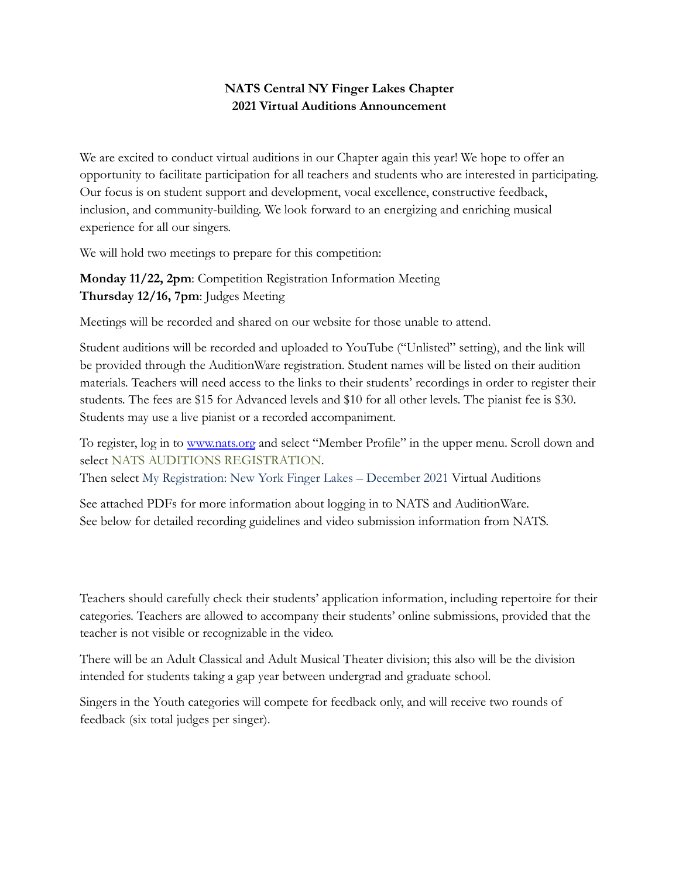# **NATS Central NY Finger Lakes Chapter 2021 Virtual Auditions Announcement**

We are excited to conduct virtual auditions in our Chapter again this year! We hope to offer an opportunity to facilitate participation for all teachers and students who are interested in participating. Our focus is on student support and development, vocal excellence, constructive feedback, inclusion, and community-building. We look forward to an energizing and enriching musical experience for all our singers.

We will hold two meetings to prepare for this competition:

**Monday 11/22, 2pm**: Competition Registration Information Meeting **Thursday 12/16, 7pm**: Judges Meeting

Meetings will be recorded and shared on our website for those unable to attend.

Student auditions will be recorded and uploaded to YouTube ("Unlisted" setting), and the link will be provided through the AuditionWare registration. Student names will be listed on their audition materials. Teachers will need access to the links to their students' recordings in order to register their students. The fees are \$15 for Advanced levels and \$10 for all other levels. The pianist fee is \$30. Students may use a live pianist or a recorded accompaniment.

To register, log in to [www.nats.org](http://www.nats.org) and select "Member Profile" in the upper menu. Scroll down and select NATS AUDITIONS REGISTRATION.

Then select My Registration: New York Finger Lakes – December 2021 Virtual Auditions

See attached PDFs for more information about logging in to NATS and AuditionWare. See below for detailed recording guidelines and video submission information from NATS.

Teachers should carefully check their students' application information, including repertoire for their categories. Teachers are allowed to accompany their students' online submissions, provided that the teacher is not visible or recognizable in the video.

There will be an Adult Classical and Adult Musical Theater division; this also will be the division intended for students taking a gap year between undergrad and graduate school.

Singers in the Youth categories will compete for feedback only, and will receive two rounds of feedback (six total judges per singer).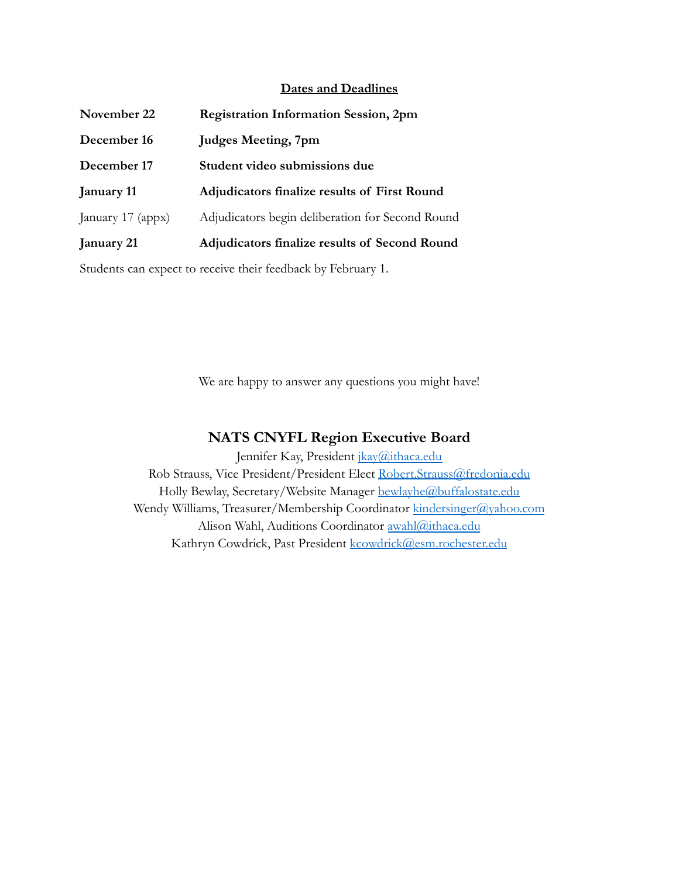#### **Dates and Deadlines**

| <b>Registration Information Session, 2pm</b>     |
|--------------------------------------------------|
| <b>Judges Meeting, 7pm</b>                       |
| Student video submissions due                    |
| Adjudicators finalize results of First Round     |
| Adjudicators begin deliberation for Second Round |
| Adjudicators finalize results of Second Round    |
|                                                  |

Students can expect to receive their feedback by February 1.

We are happy to answer any questions you might have!

## **NATS CNYFL Region Executive Board**

Jennifer Kay, President [jkay@ithaca.edu](mailto:jkay@ithaca.edu) Rob Strauss, Vice President/President Elect [Robert.Strauss@fredonia.edu](mailto:Robert.Strauss@fredonia.edu) Holly Bewlay, Secretary/Website Manager [bewlayhe@buffalostate.edu](mailto:bewlayhe@buffalostate.edu) Wendy Williams, Treasurer/Membership Coordinator [kindersinger@yahoo.com](mailto:kindersinger@yahoo.com) Alison Wahl, Auditions Coordinator [awahl@ithaca.edu](mailto:awahl@ithaca.edu) Kathryn Cowdrick, Past President [kcowdrick@esm.rochester.edu](mailto:kcowdrick@esm.rochester.edu)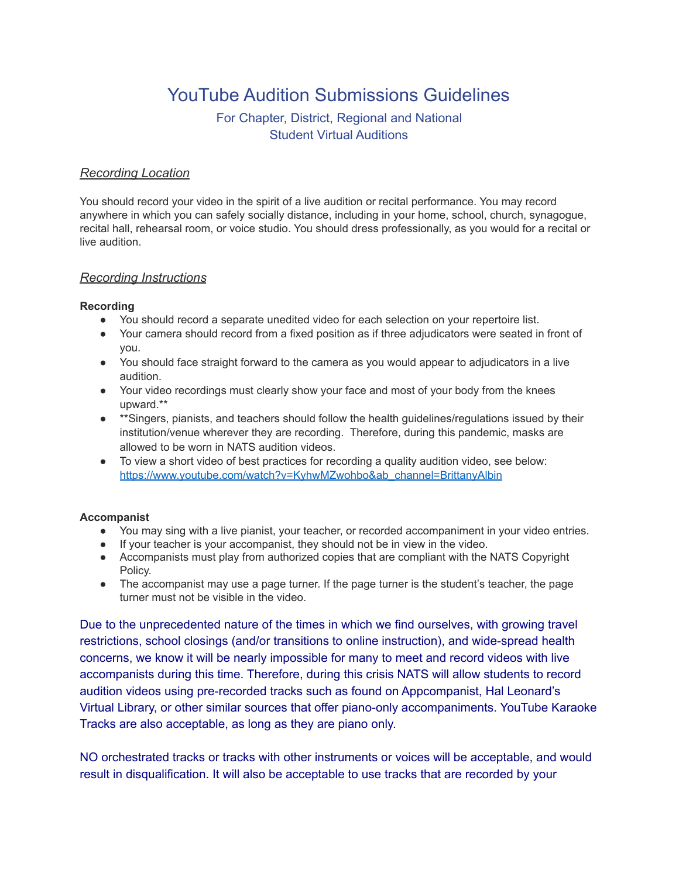# YouTube Audition Submissions Guidelines

# For Chapter, District, Regional and National Student Virtual Auditions

#### *Recording Location*

You should record your video in the spirit of a live audition or recital performance. You may record anywhere in which you can safely socially distance, including in your home, school, church, synagogue, recital hall, rehearsal room, or voice studio. You should dress professionally, as you would for a recital or live audition.

#### *Recording Instructions*

#### **Recording**

- You should record a separate unedited video for each selection on your repertoire list.
- Your camera should record from a fixed position as if three adjudicators were seated in front of you.
- You should face straight forward to the camera as you would appear to adjudicators in a live audition.
- Your video recordings must clearly show your face and most of your body from the knees upward.\*\*
- \*\*Singers, pianists, and teachers should follow the health guidelines/regulations issued by their institution/venue wherever they are recording. Therefore, during this pandemic, masks are allowed to be worn in NATS audition videos.
- To view a short video of best practices for recording a quality audition video, see below: [https://www.youtube.com/watch?v=KyhwMZwohbo&ab\\_channel=BrittanyAlbin](https://www.youtube.com/watch?v=KyhwMZwohbo&ab_channel=BrittanyAlbin)

#### **Accompanist**

- You may sing with a live pianist, your teacher, or recorded accompaniment in your video entries.
- If your teacher is your accompanist, they should not be in view in the video.
- Accompanists must play from authorized copies that are compliant with the NATS Copyright Policy.
- The accompanist may use a page turner. If the page turner is the student's teacher, the page turner must not be visible in the video.

Due to the unprecedented nature of the times in which we find ourselves, with growing travel restrictions, school closings (and/or transitions to online instruction), and wide-spread health concerns, we know it will be nearly impossible for many to meet and record videos with live accompanists during this time. Therefore, during this crisis NATS will allow students to record audition videos using pre-recorded tracks such as found on Appcompanist, Hal Leonard's Virtual Library, or other similar sources that offer piano-only accompaniments. YouTube Karaoke Tracks are also acceptable, as long as they are piano only.

NO orchestrated tracks or tracks with other instruments or voices will be acceptable, and would result in disqualification. It will also be acceptable to use tracks that are recorded by your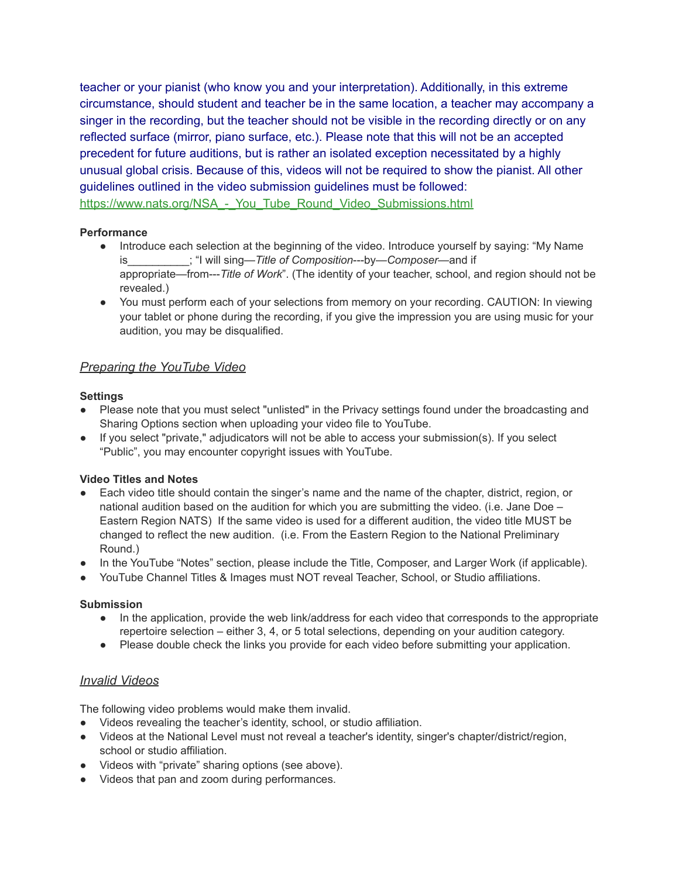teacher or your pianist (who know you and your interpretation). Additionally, in this extreme circumstance, should student and teacher be in the same location, a teacher may accompany a singer in the recording, but the teacher should not be visible in the recording directly or on any reflected surface (mirror, piano surface, etc.). Please note that this will not be an accepted precedent for future auditions, but is rather an isolated exception necessitated by a highly unusual global crisis. Because of this, videos will not be required to show the pianist. All other guidelines outlined in the video submission guidelines must be followed: https://www.nats.org/NSA - You\_Tube\_Round\_Video\_Submissions.html

#### **Performance**

- Introduce each selection at the beginning of the video. Introduce yourself by saying: "My Name is\_\_\_\_\_\_\_\_\_\_; "I will sing—*Title of Composition*---by—*Composer*—and if appropriate—from---*Title of Work*". (The identity of your teacher, school, and region should not be revealed.)
- You must perform each of your selections from memory on your recording. CAUTION: In viewing your tablet or phone during the recording, if you give the impression you are using music for your audition, you may be disqualified.

## *Preparing the YouTube Video*

#### **Settings**

- Please note that you must select "unlisted" in the Privacy settings found under the broadcasting and Sharing Options section when uploading your video file to YouTube.
- If you select "private," adjudicators will not be able to access your submission(s). If you select "Public", you may encounter copyright issues with YouTube.

#### **Video Titles and Notes**

- Each video title should contain the singer's name and the name of the chapter, district, region, or national audition based on the audition for which you are submitting the video. (i.e. Jane Doe – Eastern Region NATS) If the same video is used for a different audition, the video title MUST be changed to reflect the new audition. (i.e. From the Eastern Region to the National Preliminary Round.)
- In the YouTube "Notes" section, please include the Title, Composer, and Larger Work (if applicable).
- YouTube Channel Titles & Images must NOT reveal Teacher, School, or Studio affiliations.

#### **Submission**

- In the application, provide the web link/address for each video that corresponds to the appropriate repertoire selection – either 3, 4, or 5 total selections, depending on your audition category.
- Please double check the links you provide for each video before submitting your application.

## *Invalid Videos*

The following video problems would make them invalid.

- Videos revealing the teacher's identity, school, or studio affiliation.
- Videos at the National Level must not reveal a teacher's identity, singer's chapter/district/region, school or studio affiliation.
- Videos with "private" sharing options (see above).
- Videos that pan and zoom during performances.